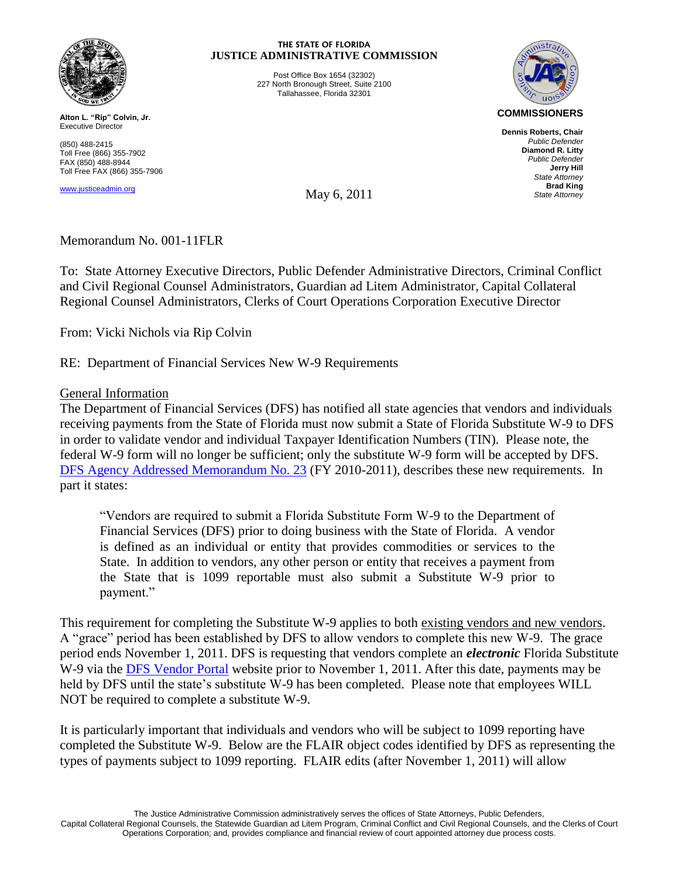

**Alton L. "Rip" Colvin, Jr.** Executive Director

(850) 488-2415 Toll Free (866) 355-7902 FAX (850) 488-8944 Toll Free FAX (866) 355-7906

www.justiceadmin.org

#### **THE STATE OF FLORIDA JUSTICE ADMINISTRATIVE COMMISSION**

Post Office Box 1654 (32302) 227 North Bronough Street, Suite 2100 Tallahassee, Florida 32301



**Dennis Roberts, Chair**  *Public Defender* **Diamond R. Litty** *Public Defender* **Jerry Hill** *State Attorney* **Brad King** *State Attorney*

May 6, 2011

# Memorandum No. 001-11FLR

To: State Attorney Executive Directors, Public Defender Administrative Directors, Criminal Conflict and Civil Regional Counsel Administrators, Guardian ad Litem Administrator, Capital Collateral Regional Counsel Administrators, Clerks of Court Operations Corporation Executive Director

From: Vicki Nichols via Rip Colvin

RE: Department of Financial Services New W-9 Requirements

## General Information

The Department of Financial Services (DFS) has notified all state agencies that vendors and individuals receiving payments from the State of Florida must now submit a State of Florida Substitute W-9 to DFS in order to validate vendor and individual Taxpayer Identification Numbers (TIN). Please note, the federal W-9 form will no longer be sufficient; only the substitute W-9 form will be accepted by DFS. [DFS Agency Addressed Memorandum No. 23](http://www.myfloridacfo.com/aadir/aam/aamindex2011.htm) (FY 2010-2011), describes these new requirements. In part it states:

"Vendors are required to submit a Florida Substitute Form W-9 to the Department of Financial Services (DFS) prior to doing business with the State of Florida. A vendor is defined as an individual or entity that provides commodities or services to the State. In addition to vendors, any other person or entity that receives a payment from the State that is 1099 reportable must also submit a Substitute W-9 prior to payment."

This requirement for completing the Substitute W-9 applies to both existing vendors and new vendors. A "grace" period has been established by DFS to allow vendors to complete this new W-9. The grace period ends November 1, 2011. DFS is requesting that vendors complete an *electronic* Florida Substitute W-9 via the [DFS Vendor Portal](https://flvendor.myfloridacfo.com/) website prior to November 1, 2011. After this date, payments may be held by DFS until the state's substitute W-9 has been completed. Please note that employees WILL NOT be required to complete a substitute W-9.

It is particularly important that individuals and vendors who will be subject to 1099 reporting have completed the Substitute W-9. Below are the FLAIR object codes identified by DFS as representing the types of payments subject to 1099 reporting. FLAIR edits (after November 1, 2011) will allow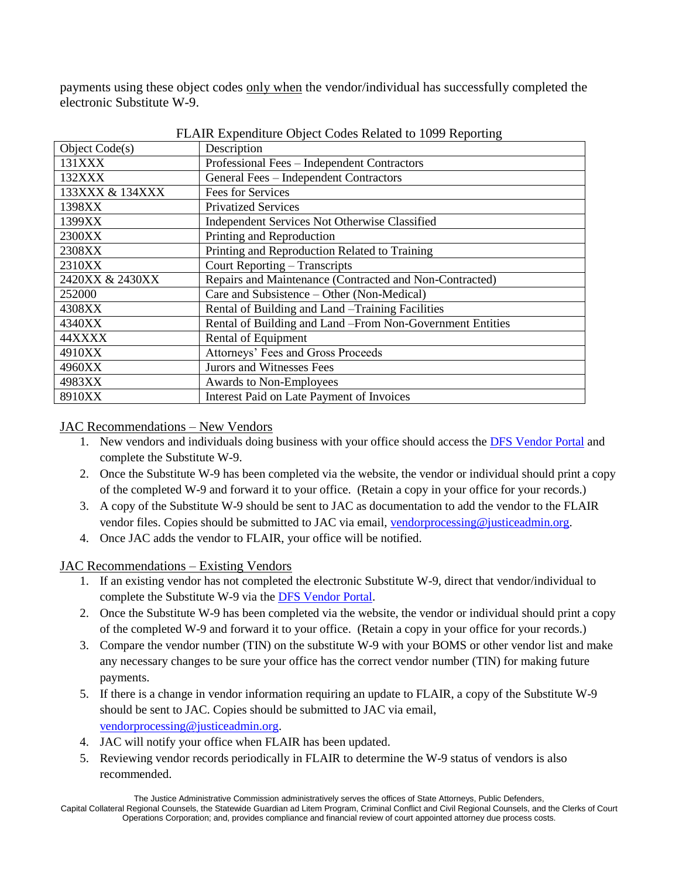payments using these object codes only when the vendor/individual has successfully completed the electronic Substitute W-9.

| Object Code(s)  | Description                                               |
|-----------------|-----------------------------------------------------------|
| 131XXX          | Professional Fees – Independent Contractors               |
| 132XXX          | General Fees - Independent Contractors                    |
| 133XXX & 134XXX | Fees for Services                                         |
| 1398XX          | <b>Privatized Services</b>                                |
| 1399XX          | Independent Services Not Otherwise Classified             |
| 2300XX          | Printing and Reproduction                                 |
| 2308XX          | Printing and Reproduction Related to Training             |
| 2310XX          | Court Reporting – Transcripts                             |
| 2420XX & 2430XX | Repairs and Maintenance (Contracted and Non-Contracted)   |
| 252000          | Care and Subsistence – Other (Non-Medical)                |
| 4308XX          | Rental of Building and Land - Training Facilities         |
| 4340XX          | Rental of Building and Land -From Non-Government Entities |
| 44XXXX          | Rental of Equipment                                       |
| 4910XX          | Attorneys' Fees and Gross Proceeds                        |
| 4960XX          | Jurors and Witnesses Fees                                 |
| 4983XX          | Awards to Non-Employees                                   |
| 8910XX          | Interest Paid on Late Payment of Invoices                 |

FLAIR Expenditure Object Codes Related to 1099 Reporting

## JAC Recommendations – New Vendors

- 1. New vendors and individuals doing business with your office should access the [DFS Vendor Portal](https://flvendor.myfloridacfo.com/) and complete the Substitute W-9.
- 2. Once the Substitute W-9 has been completed via the website, the vendor or individual should print a copy of the completed W-9 and forward it to your office. (Retain a copy in your office for your records.)
- 3. A copy of the Substitute W-9 should be sent to JAC as documentation to add the vendor to the FLAIR vendor files. Copies should be submitted to JAC via email, [vendorprocessing@justiceadmin.org.](mailto:vendorprocessing@justiceadmin.org)
- 4. Once JAC adds the vendor to FLAIR, your office will be notified.

JAC Recommendations – Existing Vendors

- 1. If an existing vendor has not completed the electronic Substitute W-9, direct that vendor/individual to complete the Substitute W-9 via the **DFS Vendor Portal**.
- 2. Once the Substitute W-9 has been completed via the website, the vendor or individual should print a copy of the completed W-9 and forward it to your office. (Retain a copy in your office for your records.)
- 3. Compare the vendor number (TIN) on the substitute W-9 with your BOMS or other vendor list and make any necessary changes to be sure your office has the correct vendor number (TIN) for making future payments.
- 5. If there is a change in vendor information requiring an update to FLAIR, a copy of the Substitute W-9 should be sent to JAC. Copies should be submitted to JAC via email, [vendorprocessing@justiceadmin.org.](mailto:vendorprocessing@justiceadmin.org)
- 4. JAC will notify your office when FLAIR has been updated.
- 5. Reviewing vendor records periodically in FLAIR to determine the W-9 status of vendors is also recommended.